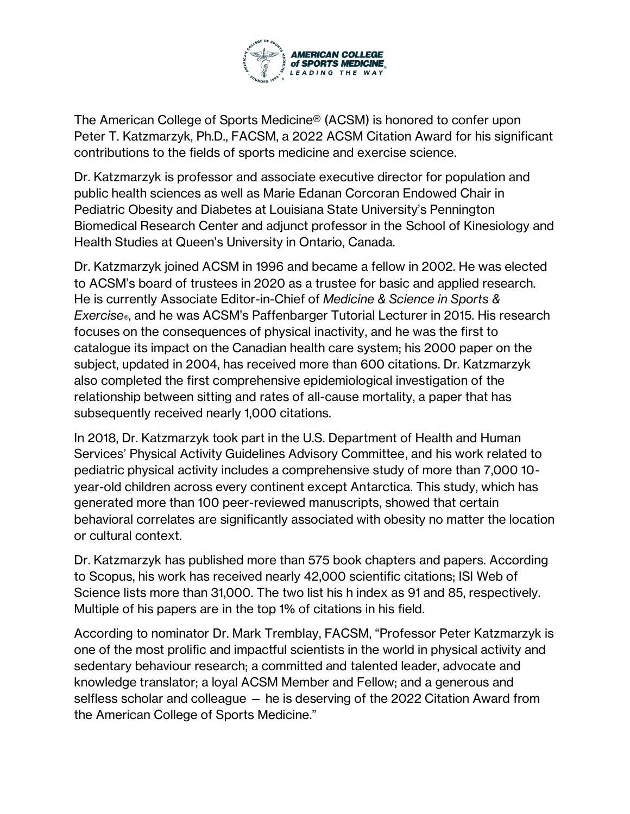

The American College of Sports Medicine® (ACSM) is honored to confer upon Peter T. Katzmarzyk, Ph.D., FACSM, a 2022 ACSM Citation Award for his significant contributions to the fields of sports medicine and exercise science.

Dr. Katzmarzyk is professor and associate executive director for population and public health sciences as well as Marie Edanan Corcoran Endowed Chair in Pediatric Obesity and Diabetes at Louisiana State University's Pennington Biomedical Research Center and adjunct professor in the School of Kinesiology and Health Studies at Queen's University in Ontario, Canada.

Dr. Katzmarzyk joined ACSM in 1996 and became a fellow in 2002. He was elected to ACSM's board of trustees in 2020 as a trustee for basic and applied research. He is currently Associate Editor-in-Chief of *Medicine & Science in Sports & Exercise®*, and he was ACSM's Paffenbarger Tutorial Lecturer in 2015. His research focuses on the consequences of physical inactivity, and he was the first to catalogue its impact on the Canadian health care system; his 2000 paper on the subject, updated in 2004, has received more than 600 citations. Dr. Katzmarzyk also completed the first comprehensive epidemiological investigation of the relationship between sitting and rates of all-cause mortality, a paper that has subsequently received nearly 1,000 citations.

In 2018, Dr. Katzmarzyk took part in the U.S. Department of Health and Human Services' Physical Activity Guidelines Advisory Committee, and his work related to pediatric physical activity includes a comprehensive study of more than 7,000 10 year-old children across every continent except Antarctica. This study, which has generated more than 100 peer-reviewed manuscripts, showed that certain behavioral correlates are significantly associated with obesity no matter the location or cultural context.

Dr. Katzmarzyk has published more than 575 book chapters and papers. According to Scopus, his work has received nearly 42,000 scientific citations; ISI Web of Science lists more than 31,000. The two list his h index as 91 and 85, respectively. Multiple of his papers are in the top 1% of citations in his field.

According to nominator Dr. Mark Tremblay, FACSM, "Professor Peter Katzmarzyk is one of the most prolific and impactful scientists in the world in physical activity and sedentary behaviour research; a committed and talented leader, advocate and knowledge translator; a loyal ACSM Member and Fellow; and a generous and selfless scholar and colleague — he is deserving of the 2022 Citation Award from the American College of Sports Medicine."